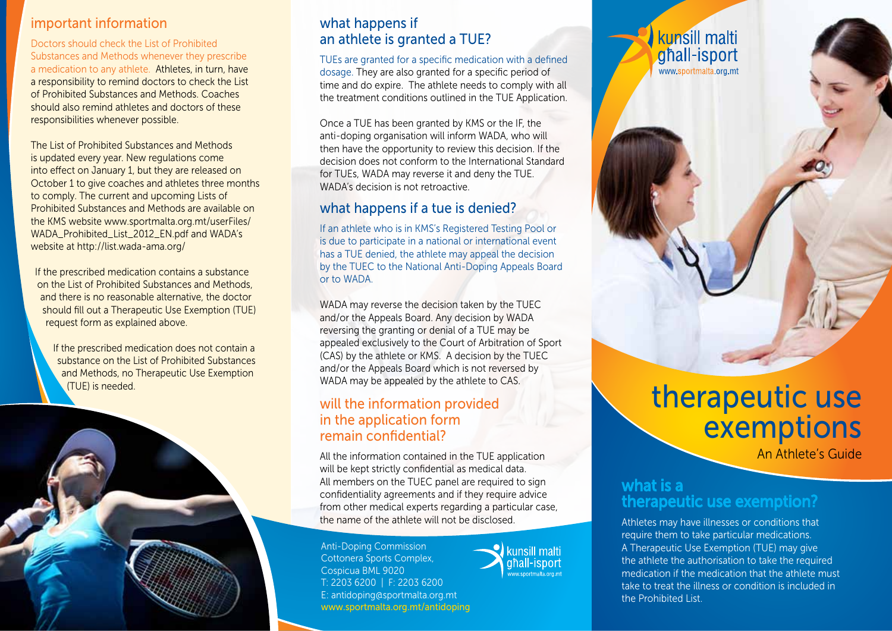### important information

Doctors should check the List of Prohibited Substances and Methods whenever they prescribe a medication to any athlete. Athletes, in turn, have a responsibility to remind doctors to check the List of Prohibited Substances and Methods. Coaches should also remind athletes and doctors of these responsibilities whenever possible.

The List of Prohibited Substances and Methods is updated every year. New regulations come into effect on January 1, but they are released on October 1 to give coaches and athletes three months to comply. The current and upcoming Lists of Prohibited Substances and Methods are available on the KMS website www.sportmalta.org.mt/userFiles/ WADA\_Prohibited\_List\_2012\_EN.pdf and WADA's website at http://list.wada-ama.org/

If the prescribed medication contains a substance on the List of Prohibited Substances and Methods, and there is no reasonable alternative, the doctor should fill out a Therapeutic Use Exemption (TUE) request form as explained above.

If the prescribed medication does not contain a substance on the List of Prohibited Substances and Methods, no Therapeutic Use Exemption (TUE) is needed.



## what happens if an athlete is granted a TUE?

TUEs are granted for a specific medication with a defined dosage. They are also granted for a specific period of time and do expire. The athlete needs to comply with all the treatment conditions outlined in the TUE Application.

Once a TUE has been granted by KMS or the IF, the anti-doping organisation will inform WADA, who will then have the opportunity to review this decision. If the decision does not conform to the International Standard for TUEs, WADA may reverse it and deny the TUE. WADA's decision is not retroactive.

## what happens if a tue is denied?

If an athlete who is in KMS's Registered Testing Pool or is due to participate in a national or international event has a TUE denied, the athlete may appeal the decision by the TUEC to the National Anti-Doping Appeals Board or to WADA.

WADA may reverse the decision taken by the TUEC and/or the Appeals Board. Any decision by WADA reversing the granting or denial of a TUE may be appealed exclusively to the Court of Arbitration of Sport (CAS) by the athlete or KMS. A decision by the TUEC and/or the Appeals Board which is not reversed by WADA may be appealed by the athlete to CAS.

## will the information provided in the application form remain confidential?

All the information contained in the TUE application will be kept strictly confidential as medical data. All members on the TUEC panel are required to sign confidentiality agreements and if they require advice from other medical experts regarding a particular case, the name of the athlete will not be disclosed.

Anti-Doping Commission Cottonera Sports Complex, Cospicua BML 9020 T: 2203 6200 | F: 2203 6200 E: antidoping@sportmalta.org.mt www.sportmalta.org.mt/antidoping



the Prohibited List.

# therapeutic use exemptions

An Athlete's Guide

## what is a therapeutic use exemption?

kunsill malti ghall-isport www.sportmalta.org.mt

Athletes may have illnesses or conditions that require them to take particular medications. A Therapeutic Use Exemption (TUE) may give the athlete the authorisation to take the required medication if the medication that the athlete must take to treat the illness or condition is included in